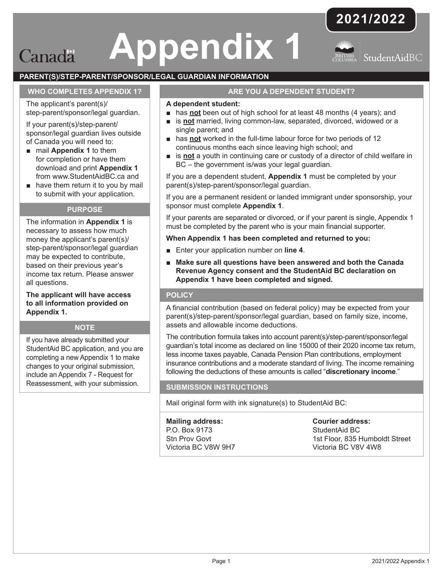## **Appendix 1** Canada



StudentAidBC

#### **PARENT(S)/STEP-PARENT/SPONSOR/LEGAL GUARDIAN INFORMATION**

#### **WHO COMPLETES APPENDIX 1?**

The applicant's parent(s)/ step-parent/sponsor/legal guardian.

If your parent(s)/step-parent/ sponsor/legal guardian lives outside of Canada you will need to:

- mail **Appendix 1** to them for completion or have them download and print **Appendix 1** from www.StudentAidBC.ca and
- have them return it to you by mail to submit with your application.

#### **PURPOSE**

The information in **Appendix 1** is necessary to assess how much money the applicant's parent(s)/ step-parent/sponsor/legal guardian may be expected to contribute, based on their previous year's income tax return. Please answer all questions.

**The applicant will have access to all information provided on Appendix 1.**

#### **NOTE**

If you have already submitted your StudentAid BC application, and you are completing a new Appendix 1 to make changes to your original submission, include an Appendix 7 - Request for Reassessment, with your submission.

#### **ARE YOU A DEPENDENT STUDENT?**

#### **A dependent student:**

- has **not** been out of high school for at least 48 months (4 years); and
- is **not** married, living common-law, separated, divorced, widowed or a single parent; and
- has **not** worked in the full-time labour force for two periods of 12 continuous months each since leaving high school; and
- is **not** a youth in continuing care or custody of a director of child welfare in BC – the government is/was your legal guardian.

If you are a dependent student, **Appendix 1** must be completed by your parent(s)/step-parent/sponsor/legal guardian.

If you are a permanent resident or landed immigrant under sponsorship, your sponsor must complete **Appendix 1**.

If your parents are separated or divorced, or if your parent is single, Appendix 1 must be completed by the parent who is your main financial supporter.

#### **When Appendix 1 has been completed and returned to you:**

- Enter your application number on **line 4**.
- Make sure all questions have been answered and both the Canada **Revenue Agency consent and the StudentAid BC declaration on Appendix 1 have been completed and signed.**

#### **POLICY**

A financial contribution (based on federal policy) may be expected from your parent(s)/step-parent/sponsor/legal guardian, based on family size, income, assets and allowable income deductions.

The contribution formula takes into account parent(s)/step-parent/sponsor/legal guardian's total income as declared on line 15000 of their 2020 income tax return, less income taxes payable, Canada Pension Plan contributions, employment insurance contributions and a moderate standard of living. The income remaining following the deductions of these amounts is called "**discretionary income**."

#### **SUBMISSION INSTRUCTIONS**

Mail original form with ink signature(s) to StudentAid BC:

#### **Mailing address:** P.O. Box 9173 Stn Prov Govt Victoria BC V8W 9H7

**Courier address:** StudentAid BC 1st Floor, 835 Humboldt Street Victoria BC V8V 4W8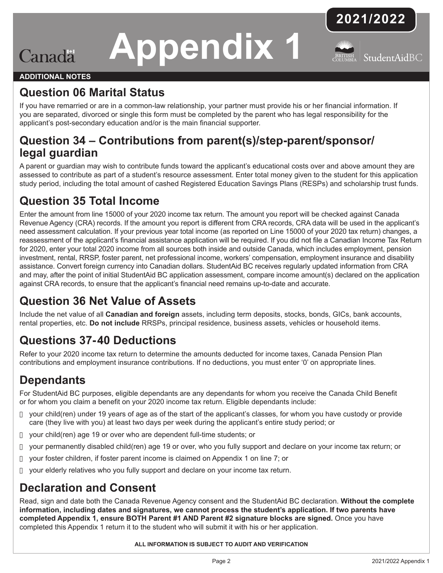# **Appendix 1**





#### **ADDITIONAL NOTES**

Canada

## **Question 06 Marital Status**

If you have remarried or are in a common-law relationship, your partner must provide his or her financial information. If you are separated, divorced or single this form must be completed by the parent who has legal responsibility for the applicant's post-secondary education and/or is the main financial supporter.

## **Question 34 – Contributions from parent(s)/step-parent/sponsor/ legal guardian**

A parent or guardian may wish to contribute funds toward the applicant's educational costs over and above amount they are assessed to contribute as part of a student's resource assessment. Enter total money given to the student for this application study period, including the total amount of cashed Registered Education Savings Plans (RESPs) and scholarship trust funds.

## **Question 35 Total Income**

Enter the amount from line 15000 of your 2020 income tax return. The amount you report will be checked against Canada Revenue Agency (CRA) records. If the amount you report is different from CRA records, CRA data will be used in the applicant's need assessment calculation. If your previous year total income (as reported on Line 15000 of your 2020 tax return) changes, a reassessment of the applicant's financial assistance application will be required. If you did not file a Canadian Income Tax Return for 2020, enter your total 2020 income from all sources both inside and outside Canada, which includes employment, pension investment, rental, RRSP, foster parent, net professional income, workers' compensation, employment insurance and disability assistance. Convert foreign currency into Canadian dollars. StudentAid BC receives regularly updated information from CRA and may, after the point of initial StudentAid BC application assessment, compare income amount(s) declared on the application against CRA records, to ensure that the applicant's financial need remains up-to-date and accurate.

## **Question 36 Net Value of Assets**

Include the net value of all **Canadian and foreign** assets, including term deposits, stocks, bonds, GICs, bank accounts, rental properties, etc. **Do not include** RRSPs, principal residence, business assets, vehicles or household items.

## **Questions 37-40 Deductions**

Refer to your 2020 income tax return to determine the amounts deducted for income taxes, Canada Pension Plan contributions and employment insurance contributions. If no deductions, you must enter '0' on appropriate lines.

## **Dependants**

For StudentAid BC purposes, eligible dependants are any dependants for whom you receive the Canada Child Benefit or for whom you claim a benefit on your 2020 income tax return. Eligible dependants include:

- $\Box$  your child(ren) under 19 years of age as of the start of the applicant's classes, for whom you have custody or provide care (they live with you) at least two days per week during the applicant's entire study period; or
- $\Box$  your child(ren) age 19 or over who are dependent full-time students; or
- $\Box$  your permanently disabled child(ren) age 19 or over, who you fully support and declare on your income tax return; or
- $\Box$  your foster children, if foster parent income is claimed on Appendix 1 on line 7; or
- $\Box$  your elderly relatives who you fully support and declare on your income tax return.

## **Declaration and Consent**

Read, sign and date both the Canada Revenue Agency consent and the StudentAid BC declaration. **Without the complete information, including dates and signatures, we cannot process the student's application. If two parents have completed Appendix 1, ensure BOTH Parent #1 AND Parent #2 signature blocks are signed.** Once you have completed this Appendix 1 return it to the student who will submit it with his or her application.

**ALL INFORMATION IS SUBJECT TO AUDIT AND VERIFICATION**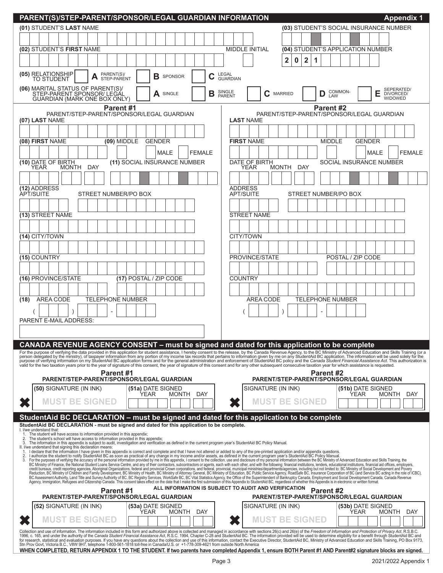| PARENT(S)/STEP-PARENT/SPONSOR/LEGAL GUARDIAN INFORMATION                                                                                                                                                                                                                                            | <b>Appendix 1</b>                                                                                                                                                                                                              |  |  |  |  |  |  |  |
|-----------------------------------------------------------------------------------------------------------------------------------------------------------------------------------------------------------------------------------------------------------------------------------------------------|--------------------------------------------------------------------------------------------------------------------------------------------------------------------------------------------------------------------------------|--|--|--|--|--|--|--|
| (01) STUDENT'S LAST NAME                                                                                                                                                                                                                                                                            | (03) STUDENT'S SOCIAL INSURANCE NUMBER                                                                                                                                                                                         |  |  |  |  |  |  |  |
|                                                                                                                                                                                                                                                                                                     |                                                                                                                                                                                                                                |  |  |  |  |  |  |  |
| (02) STUDENT'S FIRST NAME                                                                                                                                                                                                                                                                           | <b>MIDDLE INITIAL</b><br>(04) STUDENT'S APPLICATION NUMBER                                                                                                                                                                     |  |  |  |  |  |  |  |
|                                                                                                                                                                                                                                                                                                     | $\overline{\mathbf{2}}$<br>$\mathbf 2$<br>1<br>0                                                                                                                                                                               |  |  |  |  |  |  |  |
| (05) RELATIONSHIP<br>PARENT(S)/<br>С<br>В<br>SPONSOR<br>TO STUDENT<br>STEP-PARENT                                                                                                                                                                                                                   | LEGAL<br><b>GUARDIAN</b>                                                                                                                                                                                                       |  |  |  |  |  |  |  |
| (06) MARITAL STATUS OF PARENT(S)/<br>STEP-PARENT SPONSOR/ LEGAL<br>GUARDIAN (MARK ONE BOX ONLY)<br>В<br>A SINGLE                                                                                                                                                                                    | SEPERATED/<br>DIVORCED/<br>COMMON-<br>SINGLE<br>PARENT<br>E<br>$C$ MARRIED<br>D<br>LAW<br><b>WIDOWED</b>                                                                                                                       |  |  |  |  |  |  |  |
| Parent #1                                                                                                                                                                                                                                                                                           | Parent #2                                                                                                                                                                                                                      |  |  |  |  |  |  |  |
| PARENT/STEP-PARENT/SPONSOR/LEGAL GUARDIAN<br>(07) LAST NAME                                                                                                                                                                                                                                         | PARENT/STEP-PARENT/SPONSOR/LEGAL GUARDIAN<br><b>LAST NAME</b>                                                                                                                                                                  |  |  |  |  |  |  |  |
|                                                                                                                                                                                                                                                                                                     |                                                                                                                                                                                                                                |  |  |  |  |  |  |  |
| (08) FIRST NAME<br>(09) MIDDLE<br><b>GENDER</b>                                                                                                                                                                                                                                                     | <b>FIRST NAME</b><br><b>MIDDLE</b><br><b>GENDER</b>                                                                                                                                                                            |  |  |  |  |  |  |  |
| <b>MALE</b><br><b>FEMALE</b>                                                                                                                                                                                                                                                                        | <b>FEMALE</b><br>MALE                                                                                                                                                                                                          |  |  |  |  |  |  |  |
| (11) SOCIAL INSURANCE NUMBER<br>(10) DATE OF BIRTH<br>YEAR                                                                                                                                                                                                                                          | DATE OF BIRTH<br>SOCIAL INSURANCE NUMBER                                                                                                                                                                                       |  |  |  |  |  |  |  |
| MONTH DAY                                                                                                                                                                                                                                                                                           | MONTH DAY<br>YEAR                                                                                                                                                                                                              |  |  |  |  |  |  |  |
| (12) ADDRESS                                                                                                                                                                                                                                                                                        | <b>ADDRESS</b>                                                                                                                                                                                                                 |  |  |  |  |  |  |  |
| APT/SUITE<br>STREET NUMBER/PO BOX                                                                                                                                                                                                                                                                   | <b>APT/SUITE</b><br>STREET NUMBER/PO BOX                                                                                                                                                                                       |  |  |  |  |  |  |  |
|                                                                                                                                                                                                                                                                                                     |                                                                                                                                                                                                                                |  |  |  |  |  |  |  |
| (13) STREET NAME                                                                                                                                                                                                                                                                                    | <b>STREET NAME</b>                                                                                                                                                                                                             |  |  |  |  |  |  |  |
|                                                                                                                                                                                                                                                                                                     |                                                                                                                                                                                                                                |  |  |  |  |  |  |  |
| (14) CITY/TOWN                                                                                                                                                                                                                                                                                      | CITY/TOWN                                                                                                                                                                                                                      |  |  |  |  |  |  |  |
|                                                                                                                                                                                                                                                                                                     |                                                                                                                                                                                                                                |  |  |  |  |  |  |  |
| (15) COUNTRY                                                                                                                                                                                                                                                                                        | PROVINCE/STATE<br>POSTAL / ZIP CODE                                                                                                                                                                                            |  |  |  |  |  |  |  |
| (16) PROVINCE/STATE<br>(17) POSTAL / ZIP CODE                                                                                                                                                                                                                                                       | <b>COUNTRY</b>                                                                                                                                                                                                                 |  |  |  |  |  |  |  |
|                                                                                                                                                                                                                                                                                                     |                                                                                                                                                                                                                                |  |  |  |  |  |  |  |
| AREA CODE<br><b>TELEPHONE NUMBER</b><br>(18)                                                                                                                                                                                                                                                        | <b>AREA CODE</b><br>TELEPHONE NUMBER                                                                                                                                                                                           |  |  |  |  |  |  |  |
| $\overline{a}$                                                                                                                                                                                                                                                                                      |                                                                                                                                                                                                                                |  |  |  |  |  |  |  |
| <b>PARENT E-MAIL ADDRESS:</b>                                                                                                                                                                                                                                                                       |                                                                                                                                                                                                                                |  |  |  |  |  |  |  |
|                                                                                                                                                                                                                                                                                                     |                                                                                                                                                                                                                                |  |  |  |  |  |  |  |
| CANADA REVENUE AGENCY CONSENT – must be signed and dated for this application to be complete                                                                                                                                                                                                        |                                                                                                                                                                                                                                |  |  |  |  |  |  |  |
|                                                                                                                                                                                                                                                                                                     | For the purpose of verifying the data provided in this application for student assistance, I hereby consent to the release, by the Canada Revenue Agency, to the BC Ministry of Advanced Education and Skills Training (or a p |  |  |  |  |  |  |  |
| valid for the two taxation years prior to the year of signature of this consent, the year of signature of this consent and for any other subsequent consecutive taxation year for which assistance is requested.                                                                                    |                                                                                                                                                                                                                                |  |  |  |  |  |  |  |
| Parent #1<br>PARENT/STEP-PARENT/SPONSOR/LEGAL GUARDIAN                                                                                                                                                                                                                                              | Parent #2<br>PARENT/STEP-PARENT/SPONSOR/LEGAL GUARDIAN                                                                                                                                                                         |  |  |  |  |  |  |  |
| (50) SIGNATURE (IN INK)<br>(51a) DATE SIGNED                                                                                                                                                                                                                                                        | SIGNATURE (IN INK)<br>(51b) DATE SIGNED                                                                                                                                                                                        |  |  |  |  |  |  |  |
| YEAR<br><b>MONTH</b><br>DAY<br><b>MUST BE SIGNED</b>                                                                                                                                                                                                                                                | <b>YEAR</b><br>MONTH<br>DAY<br><b>MUST BE SIGNED</b>                                                                                                                                                                           |  |  |  |  |  |  |  |
|                                                                                                                                                                                                                                                                                                     |                                                                                                                                                                                                                                |  |  |  |  |  |  |  |
| StudentAid BC DECLARATION – must be signed and dated for this application to be complete                                                                                                                                                                                                            |                                                                                                                                                                                                                                |  |  |  |  |  |  |  |
| StudentAid BC DECLARATION - must be signed and dated for this application to be complete.<br>I. I/we understand that:<br>The student will have access to information provided in this appendix;<br>1.                                                                                               |                                                                                                                                                                                                                                |  |  |  |  |  |  |  |
| The student's school will have access to information provided in this appendix;<br>2.<br>3.<br>The information in this appendix is subject to audit, investigation and verification as defined in the current program year's StudentAid BC Policy Manual.                                           |                                                                                                                                                                                                                                |  |  |  |  |  |  |  |
| II. I/we understand that signing this declaration means:<br>1. I declare that the information I have given in this appendix is correct and complete and that I have not altered or added to any of the pre-printed application and/or appendix questions.<br>2.                                     |                                                                                                                                                                                                                                |  |  |  |  |  |  |  |
| 3.                                                                                                                                                                                                                                                                                                  |                                                                                                                                                                                                                                |  |  |  |  |  |  |  |
|                                                                                                                                                                                                                                                                                                     |                                                                                                                                                                                                                                |  |  |  |  |  |  |  |
| Tracking market information in any equiver in this appendix in some and office and complete and complete and complete and offices and Chizen Market That We are the the Chicky Manual. For the purposes of verifying the accur<br>ALL INFORMATION IS SUBJECT TO AUDIT AND VERIFICATION<br>Parent #2 |                                                                                                                                                                                                                                |  |  |  |  |  |  |  |
| Parent #1<br><b>PARENT/STEP-PARENT/SPONSOR/LEGAL GUARDIAN</b>                                                                                                                                                                                                                                       | PARENT/STEP-PARENT/SPONSOR/LEGAL GUARDIAN                                                                                                                                                                                      |  |  |  |  |  |  |  |
| (52) SIGNATURE (IN INK)<br><b>(53a)</b> DATE SIGNED<br>YEAR<br>MONTH<br>DAY                                                                                                                                                                                                                         | SIGNATURE (IN INK)<br>(53b) DATE SIGNED<br>YEAR<br>MONTH<br>DAY                                                                                                                                                                |  |  |  |  |  |  |  |
| <b>MUST BE SIGNED</b>                                                                                                                                                                                                                                                                               | <b>MUST BE SIGNED</b>                                                                                                                                                                                                          |  |  |  |  |  |  |  |
| Collection and use of information. The information included in this form and authorized above is collected and managed in accordance with sections 26(c) and 26(e) of the Freedom of Information and Protection of Privacy Act                                                                      | 1996, c. 165, and under the authority of the Canada Student Financial Assistance Act, R.S.C. 1994, Chapter C-28 and StudentAid BC. The information provided will be used to determine eligibility for a benefit through Studen |  |  |  |  |  |  |  |
| Stn Prov Govt, Victoria B.C., V8W 9H7, telephone 1-800-561-1818 toll-free in Canada/U.S. or +1-778-309-4621 from outside North America                                                                                                                                                              |                                                                                                                                                                                                                                |  |  |  |  |  |  |  |
|                                                                                                                                                                                                                                                                                                     | WHEN COMPLETED, RETURN APPENDIX 1 TO THE STUDENT. If two parents have completed Appendix 1, ensure BOTH Parent #1 AND Parent#2 signature blocks are signed.                                                                    |  |  |  |  |  |  |  |